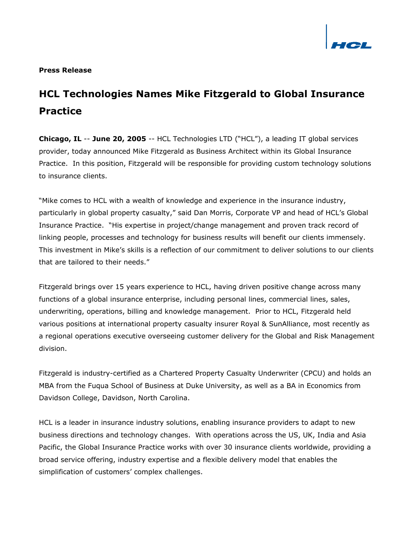

### **Press Release**

# **HCL Technologies Names Mike Fitzgerald to Global Insurance Practice**

**Chicago, IL** -- **June 20, 2005** -- HCL Technologies LTD ("HCL"), a leading IT global services provider, today announced Mike Fitzgerald as Business Architect within its Global Insurance Practice. In this position, Fitzgerald will be responsible for providing custom technology solutions to insurance clients.

"Mike comes to HCL with a wealth of knowledge and experience in the insurance industry, particularly in global property casualty," said Dan Morris, Corporate VP and head of HCL's Global Insurance Practice. "His expertise in project/change management and proven track record of linking people, processes and technology for business results will benefit our clients immensely. This investment in Mike's skills is a reflection of our commitment to deliver solutions to our clients that are tailored to their needs."

Fitzgerald brings over 15 years experience to HCL, having driven positive change across many functions of a global insurance enterprise, including personal lines, commercial lines, sales, underwriting, operations, billing and knowledge management. Prior to HCL, Fitzgerald held various positions at international property casualty insurer Royal & SunAlliance, most recently as a regional operations executive overseeing customer delivery for the Global and Risk Management division.

Fitzgerald is industry-certified as a Chartered Property Casualty Underwriter (CPCU) and holds an MBA from the Fuqua School of Business at Duke University, as well as a BA in Economics from Davidson College, Davidson, North Carolina.

HCL is a leader in insurance industry solutions, enabling insurance providers to adapt to new business directions and technology changes. With operations across the US, UK, India and Asia Pacific, the Global Insurance Practice works with over 30 insurance clients worldwide, providing a broad service offering, industry expertise and a flexible delivery model that enables the simplification of customers' complex challenges.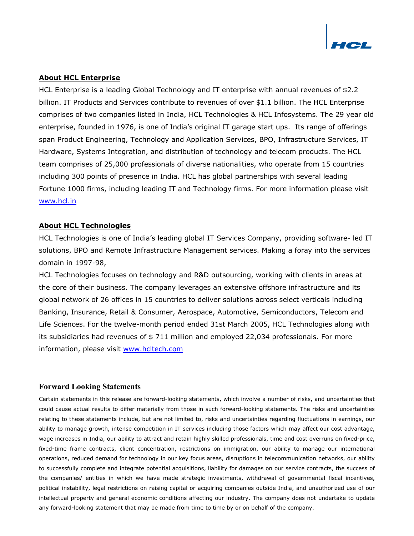

# **About HCL Enterprise**

HCL Enterprise is a leading Global Technology and IT enterprise with annual revenues of \$2.2 billion. IT Products and Services contribute to revenues of over \$1.1 billion. The HCL Enterprise comprises of two companies listed in India, HCL Technologies & HCL Infosystems. The 29 year old enterprise, founded in 1976, is one of India's original IT garage start ups. Its range of offerings span Product Engineering, Technology and Application Services, BPO, Infrastructure Services, IT Hardware, Systems Integration, and distribution of technology and telecom products. The HCL team comprises of 25,000 professionals of diverse nationalities, who operate from 15 countries including 300 points of presence in India. HCL has global partnerships with several leading Fortune 1000 firms, including leading IT and Technology firms. For more information please visit [www.hcl.in](http://www.hcl.in) 

#### **About HCL Technologies**

HCL Technologies is one of India's leading global IT Services Company, providing software- led IT solutions, BPO and Remote Infrastructure Management services. Making a foray into the services domain in 1997-98,

HCL Technologies focuses on technology and R&D outsourcing, working with clients in areas at the core of their business. The company leverages an extensive offshore infrastructure and its global network of 26 offices in 15 countries to deliver solutions across select verticals including Banking, Insurance, Retail & Consumer, Aerospace, Automotive, Semiconductors, Telecom and Life Sciences. For the twelve-month period ended 31st March 2005, HCL Technologies along with its subsidiaries had revenues of \$ 711 million and employed 22,034 professionals. For more information, please visit [www.hcltech.com](http://www.hcltech.com)

## **Forward Looking Statements**

Certain statements in this release are forward-looking statements, which involve a number of risks, and uncertainties that could cause actual results to differ materially from those in such forward-looking statements. The risks and uncertainties relating to these statements include, but are not limited to, risks and uncertainties regarding fluctuations in earnings, our ability to manage growth, intense competition in IT services including those factors which may affect our cost advantage, wage increases in India, our ability to attract and retain highly skilled professionals, time and cost overruns on fixed-price, fixed-time frame contracts, client concentration, restrictions on immigration, our ability to manage our international operations, reduced demand for technology in our key focus areas, disruptions in telecommunication networks, our ability to successfully complete and integrate potential acquisitions, liability for damages on our service contracts, the success of the companies/ entities in which we have made strategic investments, withdrawal of governmental fiscal incentives, political instability, legal restrictions on raising capital or acquiring companies outside India, and unauthorized use of our intellectual property and general economic conditions affecting our industry. The company does not undertake to update any forward-looking statement that may be made from time to time by or on behalf of the company.